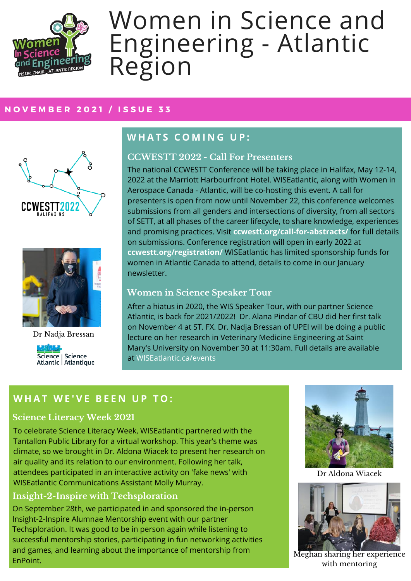

# Women in Science and Engineering - Atlantic Region

#### **N O V E M B E R 2 0 2 1 / I S S U E 3 3**





Dr Nadja Bressan



# **W H A T S C O M I N G U P :**

#### **CCWESTT 2022 - Call For Presenters**

The national CCWESTT Conference will be taking place in Halifax, May 12-14, 2022 at the Marriott Harbourfront Hotel. WISEatlantic, along with Women in Aerospace Canada - Atlantic, will be co-hosting this event. A call for presenters is open from now until November 22, this conference welcomes submissions from all genders and intersections of diversity, from all sectors of SETT, at all phases of the career lifecycle, to share knowledge, experiences and promising practices. Visit **ccwestt.org/call-for-abstracts/** for full details on submissions. Conference registration will open in early 2022 at **ccwestt.org/registration/** WISEatlantic has limited sponsorship funds for women in Atlantic Canada to attend, details to come in our January newsletter.

## **Women in Science Speaker Tour**

After a hiatus in 2020, the WIS Speaker Tour, with our partner Science Atlantic, is back for 2021/2022! Dr. Alana Pindar of CBU did her first talk on November 4 at ST. FX. Dr. Nadja Bressan of UPEI will be doing a public lecture on her research in Veterinary Medicine Engineering at Saint Mary's University on November 30 at 11:30am. Full details are available at WISEatlantic.ca/events

# **W H A T W E ' V E B E E N U P T O :**

## **Science Literacy Week 2021**

To celebrate Science Literacy Week, WISEatlantic partnered with the Tantallon Public Library for a virtual workshop. This year's theme was climate, so we brought in Dr. Aldona Wiacek to present her research on air quality and its relation to our environment. Following her talk, attendees participated in an interactive activity on 'fake news' with WISEatlantic Communications Assistant Molly Murray.

#### **Insight-2-Inspire with Techsploration**

On September 28th, we participated in and sponsored the in-person Insight-2-Inspire Alumnae Mentorship event with our partner Techsploration. It was good to be in person again while listening to successful mentorship stories, participating in fun networking activities and games, and learning about the importance of mentorship from EnPoint.



Dr Aldona Wiacek



Meghan sharing her experience with mentoring